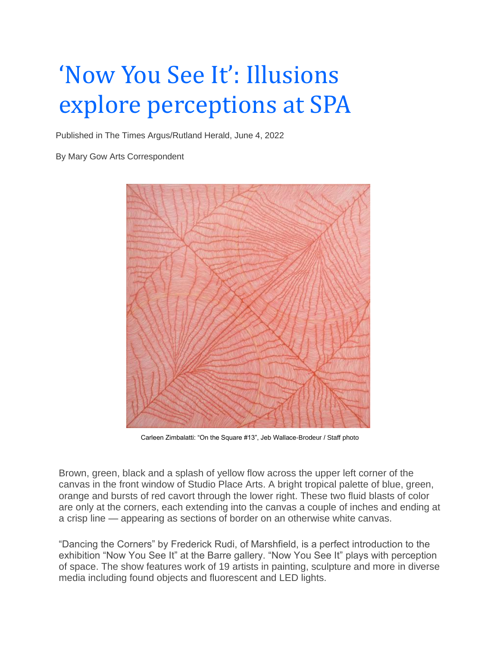## 'Now You See It': Illusions explore perceptions at SPA

Published in The Times Argus/Rutland Herald, June 4, 2022

By Mary Gow Arts Corresponden[t](https://www.timesargus.com/content/tncms/live/#4)



Carleen Zimbalatti: "On the Square #13", Jeb Wallace-Brodeur / Staff photo

Brown, green, black and a splash of yellow flow across the upper left corner of the canvas in the front window of Studio Place Arts. A bright tropical palette of blue, green, orange and bursts of red cavort through the lower right. These two fluid blasts of color are only at the corners, each extending into the canvas a couple of inches and ending at a crisp line — appearing as sections of border on an otherwise white canvas.

"Dancing the Corners" by Frederick Rudi, of Marshfield, is a perfect introduction to the exhibition "Now You See It" at the Barre gallery. "Now You See It" plays with perception of space. The show features work of 19 artists in painting, sculpture and more in diverse media including found objects and fluorescent and LED lights.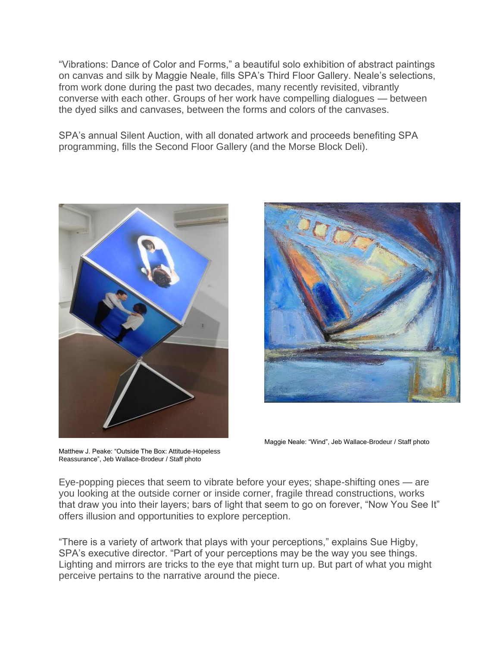"Vibrations: Dance of Color and Forms," a beautiful solo exhibition of abstract paintings on canvas and silk by Maggie Neale, fills SPA's Third Floor Gallery. Neale's selections, from work done during the past two decades, many recently revisited, vibrantly converse with each other. Groups of her work have compelling dialogues — between the dyed silks and canvases, between the forms and colors of the canvases.

SPA's annual Silent Auction, with all donated artwork and proceeds benefiting SPA programming, fills the Second Floor Gallery (and the Morse Block Deli).



Matthew J. Peake: "Outside The Box: Attitude-Hopeless Reassurance", Jeb Wallace-Brodeur / Staff photo

Maggie Neale: "Wind", Jeb Wallace-Brodeur / Staff photo

Eye-popping pieces that seem to vibrate before your eyes; shape-shifting ones — are you looking at the outside corner or inside corner, fragile thread constructions, works that draw you into their layers; bars of light that seem to go on forever, "Now You See It" offers illusion and opportunities to explore perception.

"There is a variety of artwork that plays with your perceptions," explains Sue Higby, SPA's executive director. "Part of your perceptions may be the way you see things. Lighting and mirrors are tricks to the eye that might turn up. But part of what you might perceive pertains to the narrative around the piece.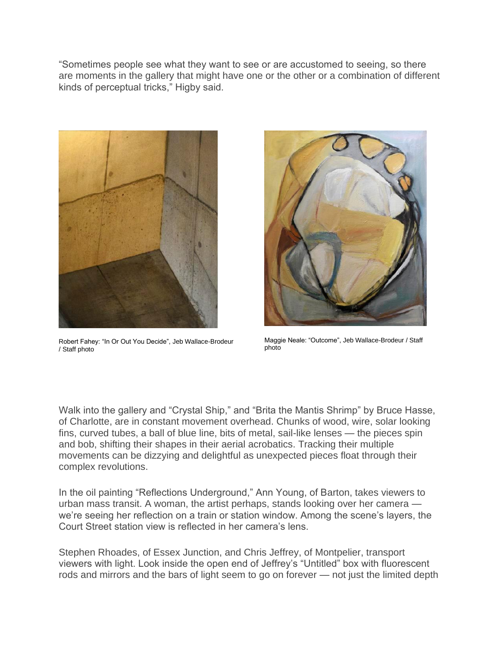"Sometimes people see what they want to see or are accustomed to seeing, so there are moments in the gallery that might have one or the other or a combination of different kinds of perceptual tricks," Higby said.



Robert Fahey: "In Or Out You Decide", Jeb Wallace-Brodeur / Staff photo



Maggie Neale: "Outcome", Jeb Wallace-Brodeur / Staff photo

Walk into the gallery and "Crystal Ship," and "Brita the Mantis Shrimp" by Bruce Hasse, of Charlotte, are in constant movement overhead. Chunks of wood, wire, solar looking fins, curved tubes, a ball of blue line, bits of metal, sail-like lenses — the pieces spin and bob, shifting their shapes in their aerial acrobatics. Tracking their multiple movements can be dizzying and delightful as unexpected pieces float through their complex revolutions.

In the oil painting "Reflections Underground," Ann Young, of Barton, takes viewers to urban mass transit. A woman, the artist perhaps, stands looking over her camera we're seeing her reflection on a train or station window. Among the scene's layers, the Court Street station view is reflected in her camera's lens.

Stephen Rhoades, of Essex Junction, and Chris Jeffrey, of Montpelier, transport viewers with light. Look inside the open end of Jeffrey's "Untitled" box with fluorescent rods and mirrors and the bars of light seem to go on forever — not just the limited depth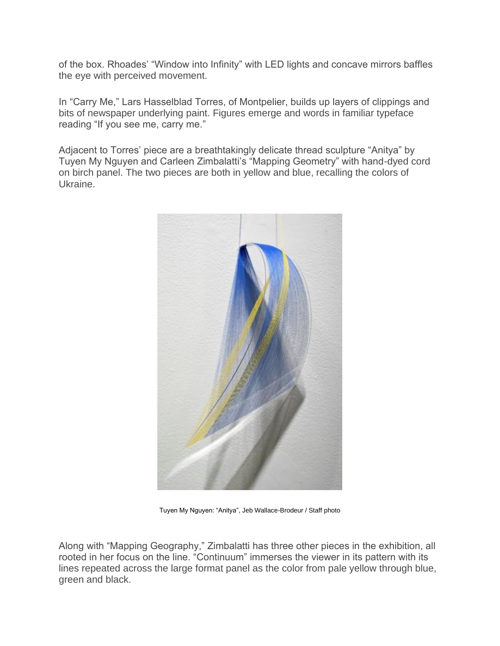of the box. Rhoades' "Window into Infinity" with LED lights and concave mirrors baffles the eye with perceived movement.

In "Carry Me," Lars Hasselblad Torres, of Montpelier, builds up layers of clippings and bits of newspaper underlying paint. Figures emerge and words in familiar typeface reading "If you see me, carry me."

Adjacent to Torres' piece are a breathtakingly delicate thread sculpture "Anitya" by Tuyen My Nguyen and Carleen Zimbalatti's "Mapping Geometry" with hand-dyed cord on birch panel. The two pieces are both in yellow and blue, recalling the colors of Ukraine.



Tuyen My Nguyen: "Anitya", Jeb Wallace-Brodeur / Staff photo

Along with "Mapping Geography," Zimbalatti has three other pieces in the exhibition, all rooted in her focus on the line. "Continuum" immerses the viewer in its pattern with its lines repeated across the large format panel as the color from pale yellow through blue, green and black.